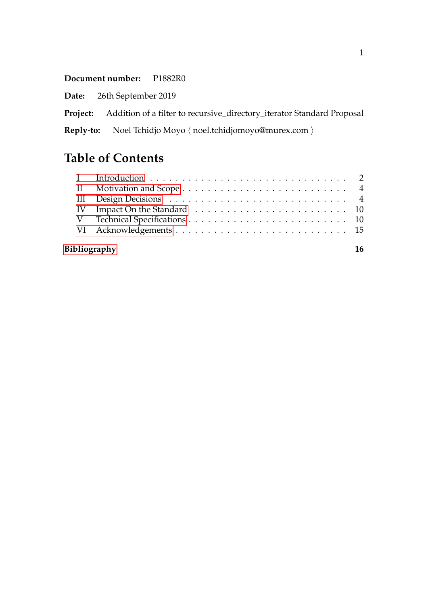**Document number:** P1882R0

**Date:** 26th September 2019

**Project:** Addition of a filter to recursive\_directory\_iterator Standard Proposal

**Reply-to:** Noel Tchidjo Moyo  $\langle$  noel.tchidjomoyo@murex.com  $\rangle$ 

# **Table of Contents**

| IV Impact On the Standard $\ldots \ldots \ldots \ldots \ldots \ldots \ldots \ldots \ldots \ldots 10$ |  |  |
|------------------------------------------------------------------------------------------------------|--|--|
|                                                                                                      |  |  |
|                                                                                                      |  |  |
| Bibliography                                                                                         |  |  |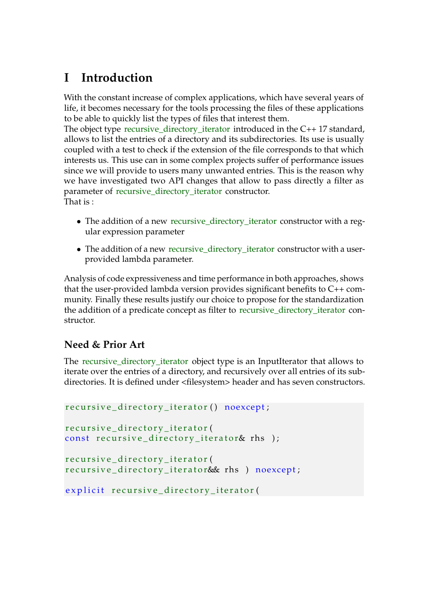# <span id="page-1-0"></span>**I Introduction**

With the constant increase of complex applications, which have several years of life, it becomes necessary for the tools processing the files of these applications to be able to quickly list the types of files that interest them.

The object type recursive\_directory\_iterator introduced in the C++ 17 standard, allows to list the entries of a directory and its subdirectories. Its use is usually coupled with a test to check if the extension of the file corresponds to that which interests us. This use can in some complex projects suffer of performance issues since we will provide to users many unwanted entries. This is the reason why we have investigated two API changes that allow to pass directly a filter as parameter of recursive\_directory\_iterator constructor. That is :

- The addition of a new recursive\_directory\_iterator constructor with a regular expression parameter
- The addition of a new recursive directory iterator constructor with a userprovided lambda parameter.

Analysis of code expressiveness and time performance in both approaches, shows that the user-provided lambda version provides significant benefits to C++ community. Finally these results justify our choice to propose for the standardization the addition of a predicate concept as filter to recursive\_directory\_iterator constructor.

#### **Need & Prior Art**

The recursive\_directory\_iterator object type is an InputIterator that allows to iterate over the entries of a directory, and recursively over all entries of its subdirectories. It is defined under <filesystem> header and has seven constructors.

```
recursive_directory_iterator() noexcept;
recursive_directory_iterator(
const recursive_directory_iterator& rhs );
recursive_directory_iterator(
recursive_directory_iterator& rhs ) noexcept;
explicit recursive_directory_iterator(
```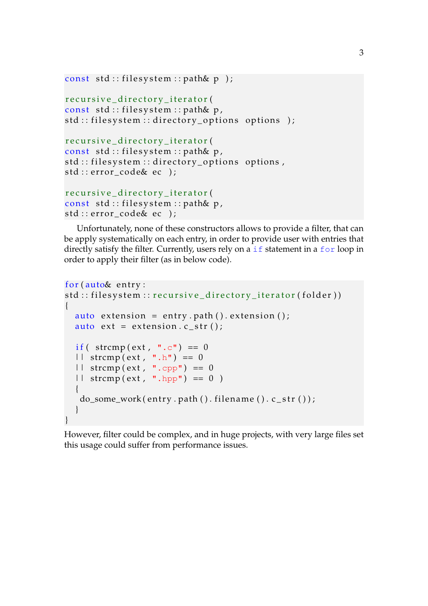```
const std:: filesystem:: path& p );
```

```
r e cursive_directory_iterator(
const std:: filesystem:: path& p,
std :: filesystem :: directory_options options );
```

```
recursive_directory_iterator(
const std:: filesystem:: path& p,
std :: filesystem :: directory_options options,
std :: error_code& ec );
```

```
recursive_directory_iterator(
const std:: filesystem:: path& p,
std :: error_code& ec );
```
Unfortunately, none of these constructors allows to provide a filter, that can be apply systematically on each entry, in order to provide user with entries that directly satisfy the filter. Currently, users rely on a if statement in a for loop in order to apply their filter (as in below code).

```
for (auto& entry:
std :: filesystem :: recursive_directory_iterator(folder))
{
  auto extension = entry . path () . extension ();
  auto ext = extension.c_str();
  if ( strcmp (ext, " . c") == 0
  || strcmp(ext, ".h") == 0
  || strcmp(ext, ".cpp") == 0
  || strcmp(ext, ".hpp") == 0)
  {
   do\_some\_work(entry.path() . filename().c\_str());
  }
}
```
However, filter could be complex, and in huge projects, with very large files set this usage could suffer from performance issues.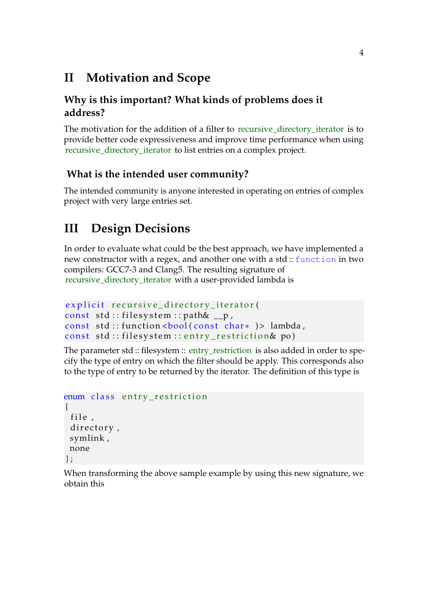## <span id="page-3-0"></span>**II Motivation and Scope**

#### **Why is this important? What kinds of problems does it address?**

The motivation for the addition of a filter to recursive\_directory\_iterator is to provide better code expressiveness and improve time performance when using recursive\_directory\_iterator to list entries on a complex project.

#### **What is the intended user community?**

The intended community is anyone interested in operating on entries of complex project with very large entries set.

# <span id="page-3-1"></span>**III Design Decisions**

In order to evaluate what could be the best approach, we have implemented a new constructor with a regex, and another one with a std :: function in two compilers: GCC7-3 and Clang5. The resulting signature of recursive\_directory\_iterator with a user-provided lambda is

```
explicit recursive_directory_iterator(
const std:: filesystem:: path\& _p,
const std :: function <br/> \leq / \leq \leq \leq \leq \leq \leq \leq \leq \leq \leq \leq \leq \leq \leq \leq \leq \leq \leq \leq \leq \leq \leq \leq \leq \leq \leq \leq \leq \leq \leq \leqconst std::filesystem::entry_restriction& po)
```
The parameter std :: filesystem :: entry\_restriction is also added in order to specify the type of entry on which the filter should be apply. This corresponds also to the type of entry to be returned by the iterator. The definition of this type is

```
enum class entry_restriction
{
 file,
 directory,
 symlink ,
 none
\} ;
```
When transforming the above sample example by using this new signature, we obtain this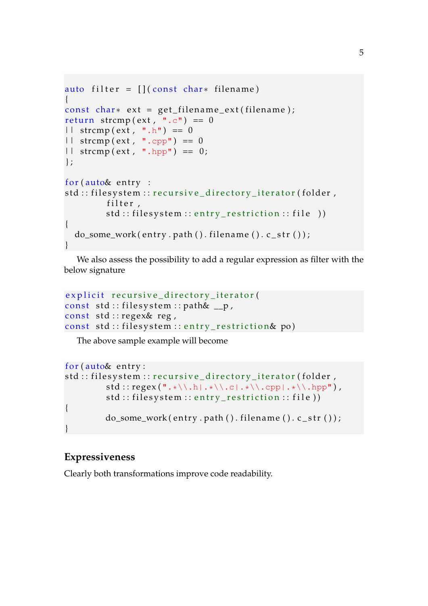```
auto filter = [ (const char* filename)
{
const char * ext = get_filename_ext(filename);
return strcmp(\text{ext}, \tilde{ } \cdot \cdot \cdot) = 0|| strcmp(\text{ext}, \text{ " .} \text{h}) = 0| \cdot | strcmp (ext, ".cpp") == 0
|| strcmp(ext, ".hpp") == 0;
\} :
for (auto& entry :
std :: filesystem :: recursive_directory_iterator(folder,
          filter,
          std::filesystem::entry\_restriction::file))
{
  do\_some\_work(entry.path(). filename(). c\_str();
}
```
We also assess the possibility to add a regular expression as filter with the below signature

```
explicit recursive_directory_iterator(
const std::filesystem::path& \_\text{p},
const std: : regex& reg,
const std:: filesystem:: entry_restriction& po)
```
The above sample example will become

```
for (auto& entry:std :: filesystem :: recursive_directory_iterator(folder,
                        std::regex(".*\\\.\hbox{$\cdot$}\hbox{$\cdot$}\hbox{$\cdot$}\hbox{$\cdot$}\hbox{$\cdot$}\hbox{$\cdot$}\hbox{$\cdot$}\hbox{$\cdot$}\hbox{$\cdot$}\hbox{$\cdot$}\hbox{$\cdot$}\hbox{$\cdot$}\hbox{$\cdot$}\hbox{$\cdot$}\hbox{$\cdot$}\hbox{$\cdot$}\hbox{$\cdot$}\hbox{$\cdot$}\hbox{$\cdot$}\hbox{$\cdot$}\hbox{$\cdot$}\hbox{$\cdot$}\hbox{$\cdot$}\hbox{$\cdot$}\hbox{$\cdot$}\hbox{$\cdot$}\hbox{$\cdot$}\hbox{$\cdot$}\hbox{$\cdot$}\hbox{$\cdot$}\hstd::filesystem::entry restriction :: file))
{
                        do\_some\_work(entry.path(). filename() . c\_str();
}
```
#### **Expressiveness**

Clearly both transformations improve code readability.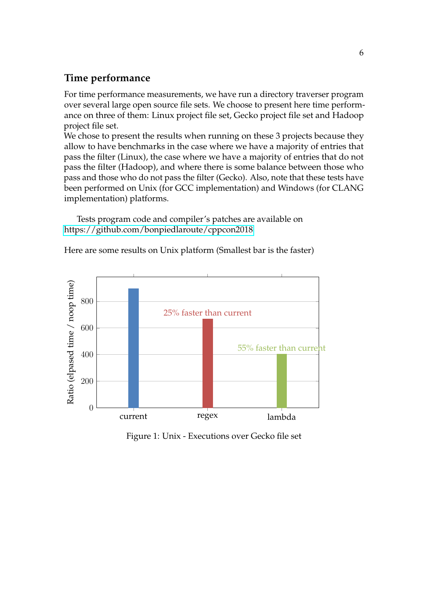#### **Time performance**

For time performance measurements, we have run a directory traverser program over several large open source file sets. We choose to present here time performance on three of them: Linux project file set, Gecko project file set and Hadoop project file set.

We chose to present the results when running on these 3 projects because they allow to have benchmarks in the case where we have a majority of entries that pass the filter (Linux), the case where we have a majority of entries that do not pass the filter (Hadoop), and where there is some balance between those who pass and those who do not pass the filter (Gecko). Also, note that these tests have been performed on Unix (for GCC implementation) and Windows (for CLANG implementation) platforms.

Tests program code and compiler's patches are available on <https://github.com/bonpiedlaroute/cppcon2018>

Here are some results on Unix platform (Smallest bar is the faster)



Figure 1: Unix - Executions over Gecko file set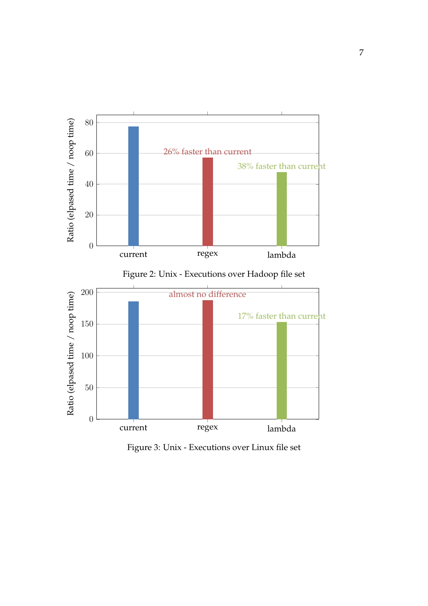

Figure 2: Unix - Executions over Hadoop file set



Figure 3: Unix - Executions over Linux file set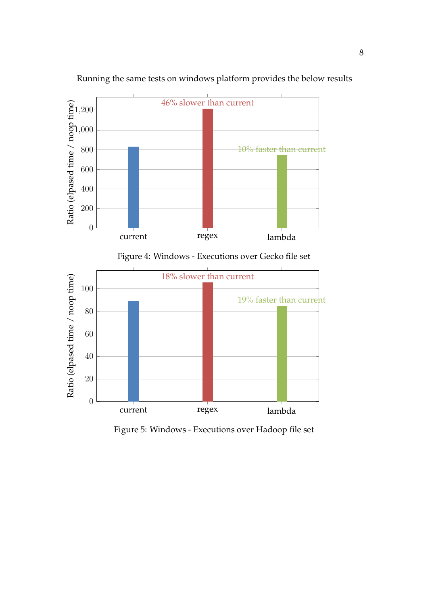

Running the same tests on windows platform provides the below results

Figure 4: Windows - Executions over Gecko file set



Figure 5: Windows - Executions over Hadoop file set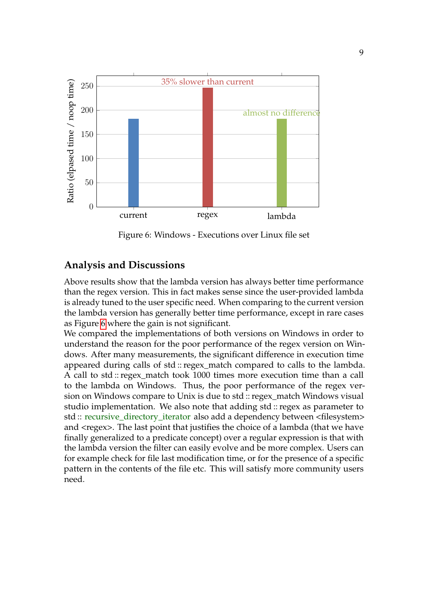

<span id="page-8-0"></span>Figure 6: Windows - Executions over Linux file set

#### **Analysis and Discussions**

Above results show that the lambda version has always better time performance than the regex version. This in fact makes sense since the user-provided lambda is already tuned to the user specific need. When comparing to the current version the lambda version has generally better time performance, except in rare cases as Figure [6](#page-8-0) where the gain is not significant.

We compared the implementations of both versions on Windows in order to understand the reason for the poor performance of the regex version on Windows. After many measurements, the significant difference in execution time appeared during calls of std :: regex\_match compared to calls to the lambda. A call to std :: regex\_match took 1000 times more execution time than a call to the lambda on Windows. Thus, the poor performance of the regex version on Windows compare to Unix is due to std :: regex\_match Windows visual studio implementation. We also note that adding std :: regex as parameter to std :: recursive\_directory\_iterator also add a dependency between <filesystem> and <regex>. The last point that justifies the choice of a lambda (that we have finally generalized to a predicate concept) over a regular expression is that with the lambda version the filter can easily evolve and be more complex. Users can for example check for file last modification time, or for the presence of a specific pattern in the contents of the file etc. This will satisfy more community users need.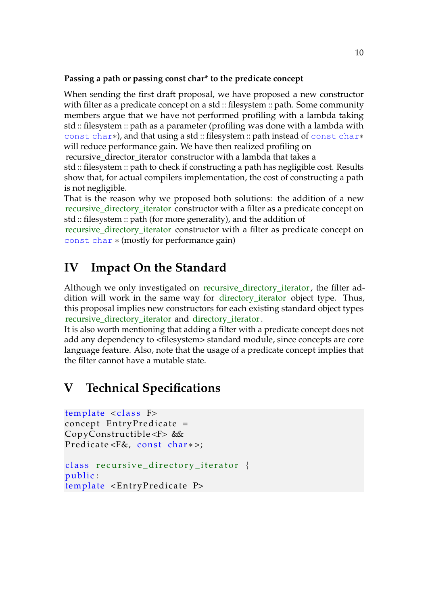#### **Passing a path or passing const char\* to the predicate concept**

When sending the first draft proposal, we have proposed a new constructor with filter as a predicate concept on a std :: filesystem :: path. Some community members argue that we have not performed profiling with a lambda taking std :: filesystem :: path as a parameter (profiling was done with a lambda with const char∗), and that using a std :: filesystem :: path instead of const char∗ will reduce performance gain. We have then realized profiling on

recursive\_director\_iterator constructor with a lambda that takes a

std :: filesystem :: path to check if constructing a path has negligible cost. Results show that, for actual compilers implementation, the cost of constructing a path is not negligible.

That is the reason why we proposed both solutions: the addition of a new recursive\_directory\_iterator constructor with a filter as a predicate concept on std :: filesystem :: path (for more generality), and the addition of

recursive\_directory\_iterator constructor with a filter as predicate concept on const char ∗ (mostly for performance gain)

## <span id="page-9-0"></span>**IV Impact On the Standard**

Although we only investigated on recursive directory iterator, the filter addition will work in the same way for directory\_iterator object type. Thus, this proposal implies new constructors for each existing standard object types recursive\_directory\_iterator and directory\_iterator.

It is also worth mentioning that adding a filter with a predicate concept does not add any dependency to <filesystem> standard module, since concepts are core language feature. Also, note that the usage of a predicate concept implies that the filter cannot have a mutable state.

### <span id="page-9-1"></span>**V Technical Specifications**

template <class F>  $concept$  EntryPredicate = CopyConstructible <F> & & Predicate <F&, const char \*>;

```
class recursive_directory_iterator {
public :
template <EntryPredicate P>
```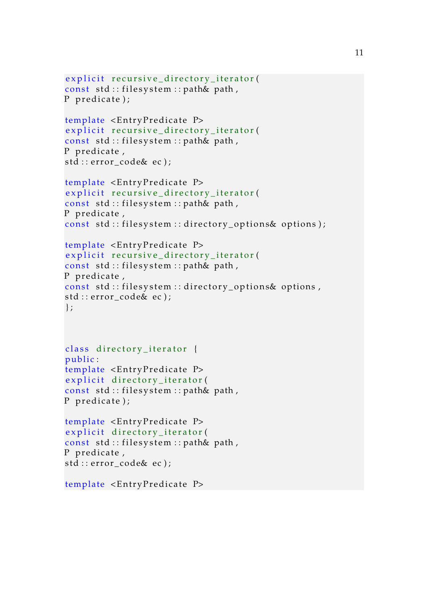```
explicit recursive_directory_iterator(
const std :: filesystem :: path& path,
P predicate);
template <EntryPredicate P>
explicit recursive_directory_iterator(
const std::filesystem::path& path,
P predicate,
std :: error_code& ec);
template <EntryPredicate P>
explicit recursive_directory_iterator(
const std:: filesystem:: path& path,
P predicate,
const std:: filesystem:: directory options\& options);
template <EntryPredicate P>
explicit recursive_directory_iterator(
const std :: filesystem :: path& path,
P predicate,
const std :: filesystem :: directory_options& options,
std :: error_code& ec);
\};
class directory_iterator {
public:template <EntryPredicate P>
explicit directory_iterator(
const std::filesystem::path& path,
P predicate);
template <EntryPredicate P>
explicit directory_iterator(
const std::filesystem::path& path,
P predicate,
std::error\_code ec);
template <EntryPredicate P>
```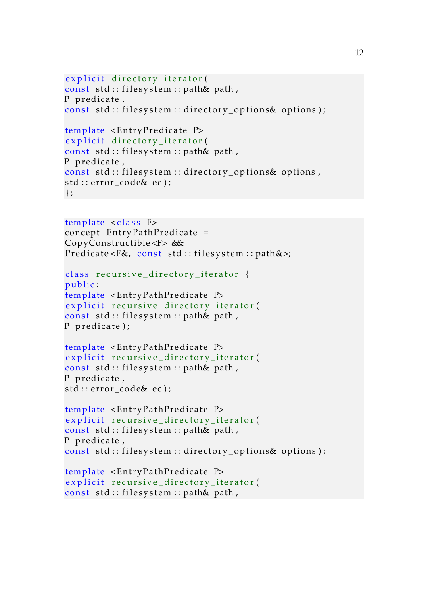```
explicit directory_iterator(
const std :: filesystem :: path& path,
P predicate,
const std :: filesystem :: directory_options& options);
template < EntryPredicte Pexplicit directory_iterator(
const std :: filesystem :: path& path,
P predicate,
const std::filesystem::directory_options& optionsstd :: error code& ec);
\} ;
```
template <class F>  $concept$  EntryPathPredicate = CopyConstructible <F> & & Predicate <F&, const std:: filesystem:: path&>;

```
class recursive_directory_iterator {
public :
template <EntryPathPredicate P>
explicit recursive_directory_iterator(
const std :: filesystem :: path& path,
P predicate);
```

```
template <EntryPathPredicate P>
explicit recursive_directory_iterator(
const std:: filesystem:: path& path,
P predicate,
std :: error_code& ec);
```

```
template <EntryPathPredicate P>
explicit recursive_directory_iterator(
const std::filesystem::path& path,
P predicate,
const std:: filesystem:: directory_options& options);
```

```
template <EntryPathPredicate P>
explicit recursive_directory_iterator(
const std :: filesystem :: path& path,
```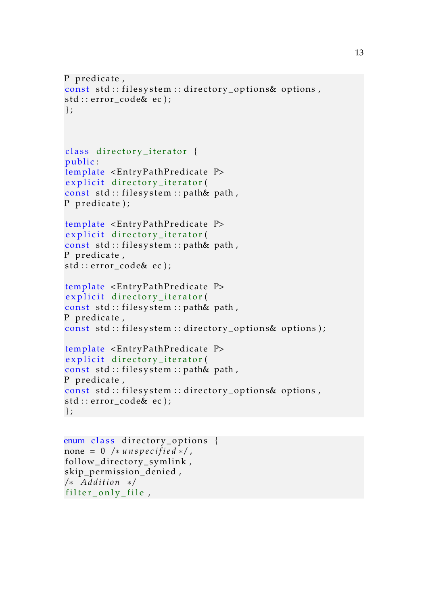```
P predicate,
const std :: filesystem :: directory_options& options,
std :: error_code& ec);
\};
class directory_iterator {
public:
template <EntryPathPredicate P>
explicit directory_iterator(
const std :: filesystem :: path& path,
P predicate);
template <EntryPathPredicate P>
explicit directory_iterator(
const std :: filesystem :: path& path,
P predicate,
std :: error_code& ec);
template <EntryPathPredicate P>
explicit directory_iterator(
const std :: filesystem :: path& path,
P predicate,
const std :: filesystem :: directory_options& options);
template <EntryPathPredicate P>
explicit directory_iterator(
const std :: filesystem :: path& path,
P predicate,
const std::filesystem::directory_options& optionsstd :: error_code& ec);
} ;
```

```
enum class directory_options {
none = 0 /* unspecified */,
follow_directory_symlink,
skip_permission_denied ,
/ ∗ A d di ti o n ∗ /
filter\_only\_file,
```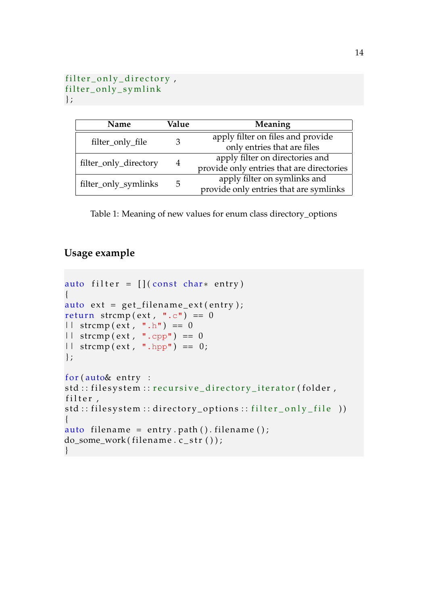```
filter_only_directory,
filter_only_symlink
} ;
```

| Name                  | Value | Meaning                                   |
|-----------------------|-------|-------------------------------------------|
| filter_only_file      |       | apply filter on files and provide         |
|                       |       | only entries that are files               |
| filter_only_directory | 4     | apply filter on directories and           |
|                       |       | provide only entries that are directories |
| filter_only_symlinks  | 5     | apply filter on symlinks and              |
|                       |       | provide only entries that are symlinks    |

Table 1: Meaning of new values for enum class directory\_options

#### **Usage example**

```
auto filter = [] (const char* entry){
auto ext = get_{filename\_ext(entry)};
return strcmp(ext, ".c") == 0
| \cdot | strcmp(ext, ".h") == 0
|| strcmp (ext, ".cpp") == 0
| \cdot | strcmp (ext, ".hpp") == 0;
\} ;
for (auto& entry :
std :: filesystem :: recursive_directory_iterator(folder,
filter,
std::filesystem::directory\_options::filter\_only_file ))
{
auto filename = entry.path().filename();
do_some_work(filename.c_str());
}
```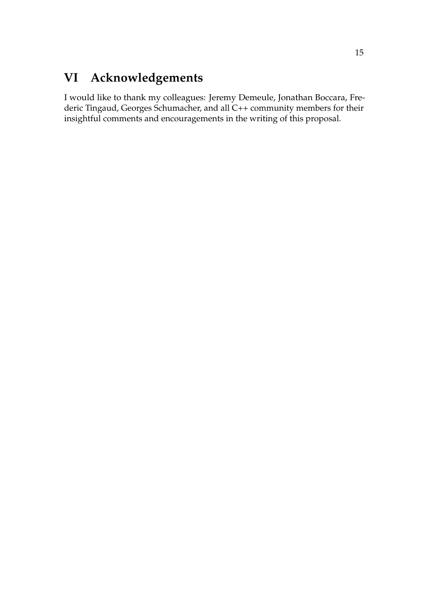# <span id="page-14-0"></span>**VI Acknowledgements**

I would like to thank my colleagues: Jeremy Demeule, Jonathan Boccara, Frederic Tingaud, Georges Schumacher, and all C++ community members for their insightful comments and encouragements in the writing of this proposal.